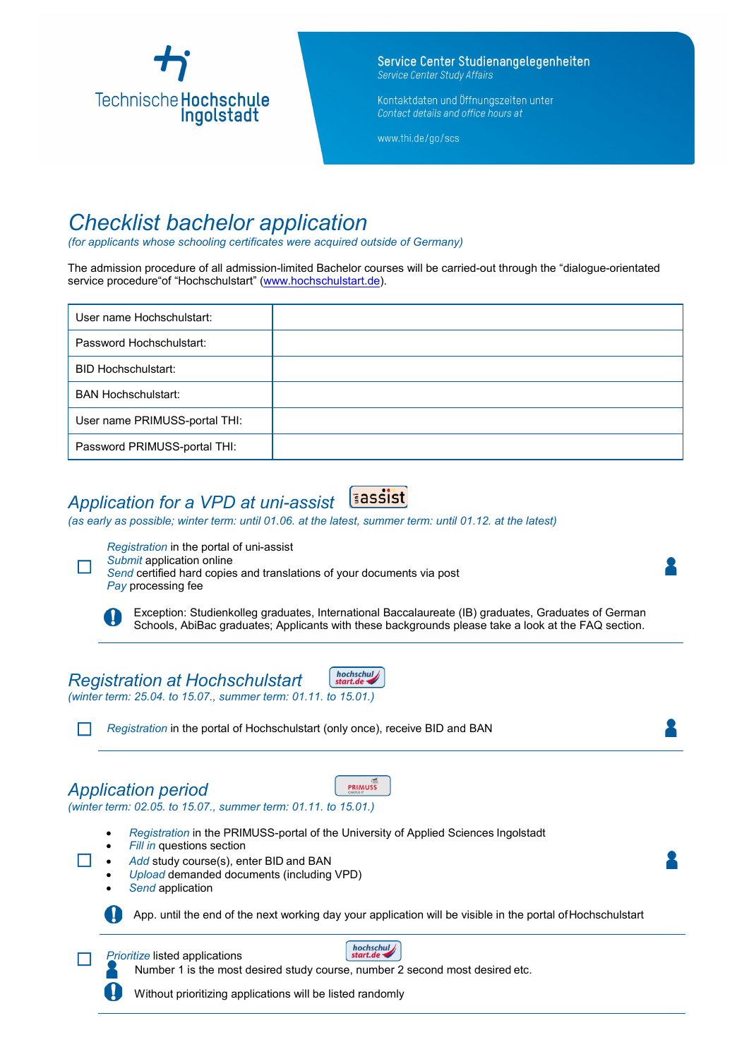

Service Center Studienangelegenheiten Service Center Study Affairs

Kontaktdaten und Öffnungszeiten unter Contact details and office hours at

www.thi.de/go/scs

## *Checklist bachelor application*

*(for applicants whose schooling certificates were acquired outside of Germany)*

The admission procedure of all admission-limited Bachelor courses will be carried-out through the "dialogue-orientated service procedure"of "Hochschul[start" \(www.hochschulstart.de\)](http://www.hochschulstart.de/).

| User name Hochschulstart:     |  |
|-------------------------------|--|
| Password Hochschulstart:      |  |
| <b>BID Hochschulstart:</b>    |  |
| <b>BAN Hochschulstart:</b>    |  |
| User name PRIMUSS-portal THI: |  |
| Password PRIMUSS-portal THI:  |  |

# *Application for a VPD at uni-assist*

*(as early as possible; winter term: until 01.06. at the latest, summer term: until 01.12. at the latest)*



 $\Box$ 

*Registration* in the portal of uni-assist *Submit* application online

*Send* certified hard copies and translations of your documents via post *Pay* processing fee

Exception: Studienkolleg graduates, International Baccalaureate (IB) graduates, Graduates of German Schools, AbiBac graduates; Applicants with these backgrounds please take a look at the FAQ section.

#### hochschul *Registration at Hochschulstart*

*(winter term: 25.04. to 15.07., summer term: 01.11. to 15.01.)*

☐ *Registration* in the portal of Hochschulstart (only once), receive BID and BAN

### *Application period*

*(winter term: 02.05. to 15.07., summer term: 01.11. to 15.01.)*

- *Registration* in the PRIMUSS-portal of the University of Applied Sciences Ingolstadt
- **Fill in questions section**
- *Add* study course(s), enter BID and BAN
- *Upload* demanded documents (including VPD)
- *Send* application

App. until the end of the next working day your application will be visible in the portal ofHochschulstart

**Prioritize listed applications** 



PRIMUSS

Number 1 is the most desired study course, number 2 second most desired etc.

Without prioritizing applications will be listed randomly